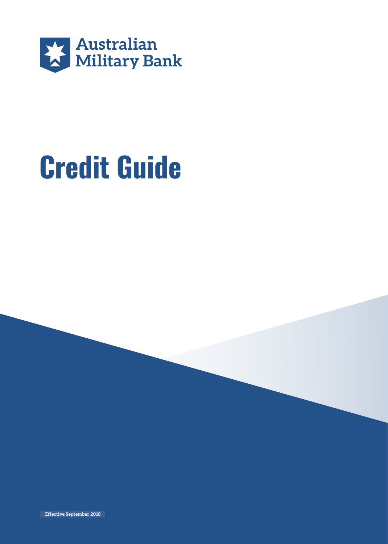

# **Credit Guide**

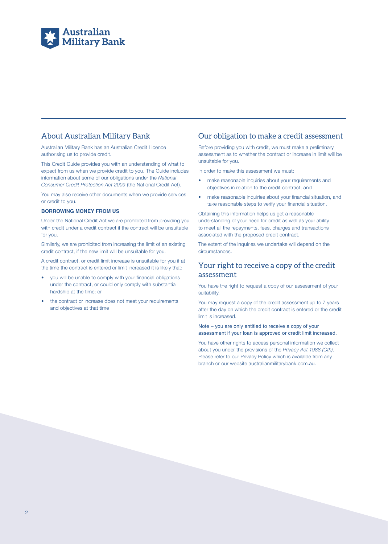

# About Australian Military Bank

Australian Military Bank has an Australian Credit Licence authorising us to provide credit.

This Credit Guide provides you with an understanding of what to expect from us when we provide credit to you. The Guide includes information about some of our obligations under the *National Consumer Credit Protection Act 2009* (the National Credit Act).

You may also receive other documents when we provide services or credit to you.

#### **BORROWING MONEY FROM US**

Under the National Credit Act we are prohibited from providing you with credit under a credit contract if the contract will be unsuitable for you.

Similarly, we are prohibited from increasing the limit of an existing credit contract, if the new limit will be unsuitable for you.

A credit contract, or credit limit increase is unsuitable for you if at the time the contract is entered or limit increased it is likely that:

- you will be unable to comply with your financial obligations under the contract, or could only comply with substantial hardship at the time; or
- the contract or increase does not meet your requirements and objectives at that time

### Our obligation to make a credit assessment

Before providing you with credit, we must make a preliminary assessment as to whether the contract or increase in limit will be unsuitable for you.

In order to make this assessment we must:

- make reasonable inquiries about your requirements and objectives in relation to the credit contract; and
- make reasonable inquiries about your financial situation, and take reasonable steps to verify your financial situation.

Obtaining this information helps us get a reasonable understanding of your need for credit as well as your ability to meet all the repayments, fees, charges and transactions associated with the proposed credit contract.

The extent of the inquiries we undertake will depend on the circumstances.

# Your right to receive a copy of the credit assessment

You have the right to request a copy of our assessment of your suitability.

You may request a copy of the credit assessment up to 7 years after the day on which the credit contract is entered or the credit limit is increased.

#### Note – you are only entitled to receive a copy of your assessment if your loan is approved or credit limit increased.

You have other rights to access personal information we collect about you under the provisions of the *Privacy Act 1988 (Cth)*. Please refer to our Privacy Policy which is available from any branch or our website australianmilitarybank.com.au.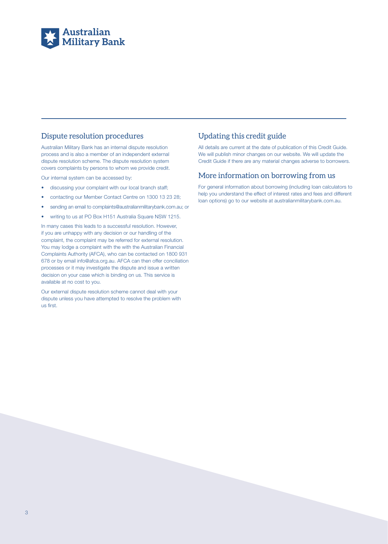

# Dispute resolution procedures

Australian Military Bank has an internal dispute resolution process and is also a member of an independent external dispute resolution scheme. The dispute resolution system covers complaints by persons to whom we provide credit.

Our internal system can be accessed by:

- discussing your complaint with our local branch staff;
- contacting our Member Contact Centre on 1300 13 23 28;
- sending an email to complaints@australianmilitarybank.com.au; or
- writing to us at PO Box H151 Australia Square NSW 1215.

In many cases this leads to a successful resolution. However, if you are unhappy with any decision or our handling of the complaint, the complaint may be referred for external resolution. You may lodge a complaint with the with the Australian Financial Complaints Authority (AFCA), who can be contacted on 1800 931 678 or by email info@afca.org.au. AFCA can then offer conciliation processes or it may investigate the dispute and issue a written decision on your case which is binding on us. This service is available at no cost to you.

Our external dispute resolution scheme cannot deal with your dispute unless you have attempted to resolve the problem with us first.

# Updating this credit guide

All details are current at the date of publication of this Credit Guide. We will publish minor changes on our website. We will update the Credit Guide if there are any material changes adverse to borrowers.

# More information on borrowing from us

For general information about borrowing (including loan calculators to help you understand the effect of interest rates and fees and different loan options) go to our website at australianmilitarybank.com.au.